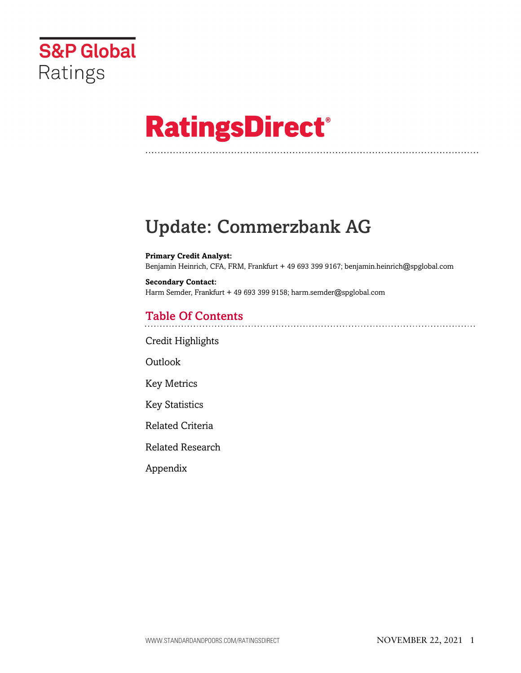

# **RatingsDirect®**

# Update: Commerzbank AG

**Primary Credit Analyst:** Benjamin Heinrich, CFA, FRM, Frankfurt + 49 693 399 9167; benjamin.heinrich@spglobal.com

**Secondary Contact:** Harm Semder, Frankfurt + 49 693 399 9158; harm.semder@spglobal.com

# Table Of Contents

[Credit Highlights](#page-1-0)

Outlook

[Key Metrics](#page-4-0)

[Key Statistics](#page-4-1)

[Related Criteria](#page-6-0)

[Related Research](#page-6-1)

[Appendix](#page-7-0)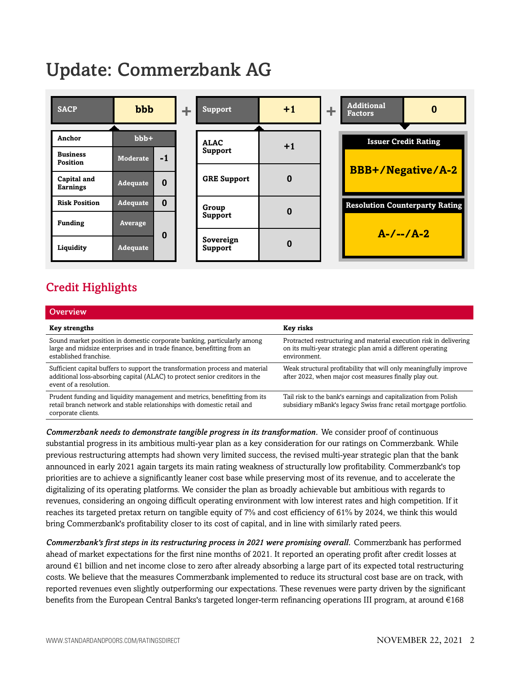# Update: Commerzbank AG



# <span id="page-1-0"></span>Credit Highlights

| Overview                                                                                                                                                                               |                                                                                                                                                   |
|----------------------------------------------------------------------------------------------------------------------------------------------------------------------------------------|---------------------------------------------------------------------------------------------------------------------------------------------------|
| <b>Key strengths</b>                                                                                                                                                                   | Key risks                                                                                                                                         |
| Sound market position in domestic corporate banking, particularly among<br>large and midsize enterprises and in trade finance, benefitting from an<br>established franchise.           | Protracted restructuring and material execution risk in delivering<br>on its multi-year strategic plan amid a different operating<br>environment. |
| Sufficient capital buffers to support the transformation process and material<br>additional loss-absorbing capital (ALAC) to protect senior creditors in the<br>event of a resolution. | Weak structural profitability that will only meaningfully improve<br>after 2022, when major cost measures finally play out.                       |
| Prudent funding and liquidity management and metrics, benefitting from its<br>retail branch network and stable relationships with domestic retail and<br>corporate clients.            | Tail risk to the bank's earnings and capitalization from Polish<br>subsidiary mBank's legacy Swiss franc retail mortgage portfolio.               |

*Commerzbank needs to demonstrate tangible progress in its transformation.* We consider proof of continuous substantial progress in its ambitious multi-year plan as a key consideration for our ratings on Commerzbank. While previous restructuring attempts had shown very limited success, the revised multi-year strategic plan that the bank announced in early 2021 again targets its main rating weakness of structurally low profitability. Commerzbank's top priorities are to achieve a significantly leaner cost base while preserving most of its revenue, and to accelerate the digitalizing of its operating platforms. We consider the plan as broadly achievable but ambitious with regards to revenues, considering an ongoing difficult operating environment with low interest rates and high competition. If it reaches its targeted pretax return on tangible equity of 7% and cost efficiency of 61% by 2024, we think this would bring Commerzbank's profitability closer to its cost of capital, and in line with similarly rated peers.

*Commerzbank's first steps in its restructuring process in 2021 were promising overall.* Commerzbank has performed ahead of market expectations for the first nine months of 2021. It reported an operating profit after credit losses at around €1 billion and net income close to zero after already absorbing a large part of its expected total restructuring costs. We believe that the measures Commerzbank implemented to reduce its structural cost base are on track, with reported revenues even slightly outperforming our expectations. These revenues were party driven by the significant benefits from the European Central Banks's targeted longer-term refinancing operations III program, at around €168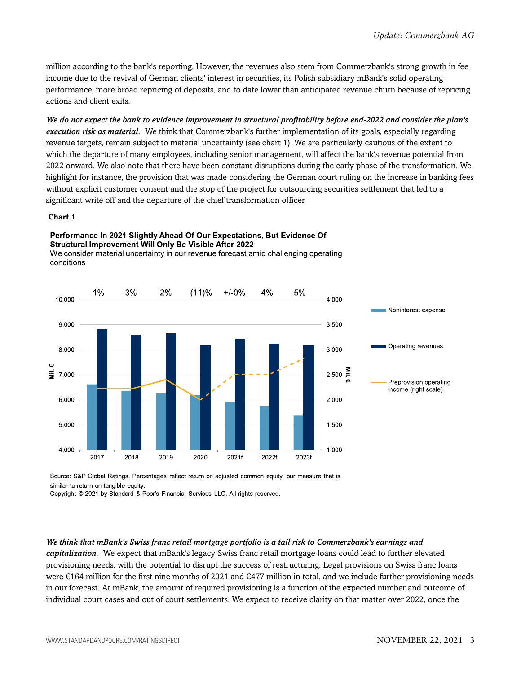million according to the bank's reporting. However, the revenues also stem from Commerzbank's strong growth in fee income due to the revival of German clients' interest in securities, its Polish subsidiary mBank's solid operating performance, more broad repricing of deposits, and to date lower than anticipated revenue churn because of repricing actions and client exits.

*We do not expect the bank to evidence improvement in structural profitability before end-2022 and consider the plan's execution risk as material.* We think that Commerzbank's further implementation of its goals, especially regarding revenue targets, remain subject to material uncertainty (see chart 1). We are particularly cautious of the extent to which the departure of many employees, including senior management, will affect the bank's revenue potential from 2022 onward. We also note that there have been constant disruptions during the early phase of the transformation. We highlight for instance, the provision that was made considering the German court ruling on the increase in banking fees without explicit customer consent and the stop of the project for outsourcing securities settlement that led to a significant write off and the departure of the chief transformation officer.

#### **Chart 1**

#### Performance In 2021 Slightly Ahead Of Our Expectations, But Evidence Of Structural Improvement Will Only Be Visible After 2022

We consider material uncertainty in our revenue forecast amid challenging operating conditions



Source: S&P Global Ratings. Percentages reflect return on adjusted common equity, our measure that is similar to return on tangible equity.

Copyright © 2021 by Standard & Poor's Financial Services LLC. All rights reserved.

#### *We think that mBank's Swiss franc retail mortgage portfolio is a tail risk to Commerzbank's earnings and*

*capitalization.* We expect that mBank's legacy Swiss franc retail mortgage loans could lead to further elevated provisioning needs, with the potential to disrupt the success of restructuring. Legal provisions on Swiss franc loans were  $\epsilon$ 164 million for the first nine months of 2021 and  $\epsilon$ 477 million in total, and we include further provisioning needs in our forecast. At mBank, the amount of required provisioning is a function of the expected number and outcome of individual court cases and out of court settlements. We expect to receive clarity on that matter over 2022, once the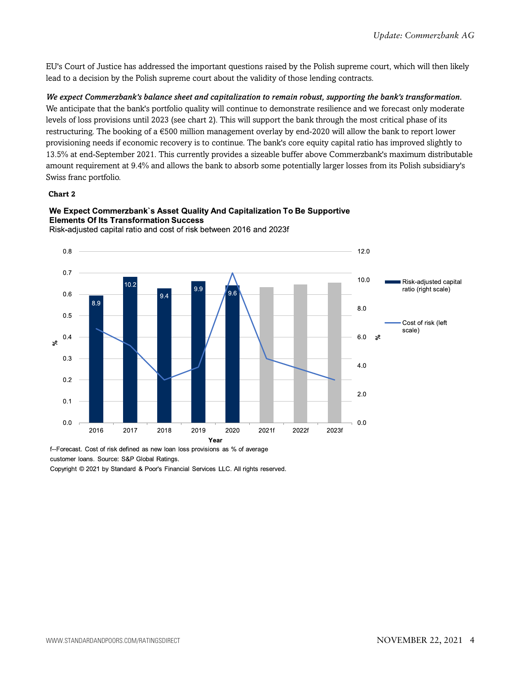EU's Court of Justice has addressed the important questions raised by the Polish supreme court, which will then likely lead to a decision by the Polish supreme court about the validity of those lending contracts.

*We expect Commerzbank's balance sheet and capitalization to remain robust, supporting the bank's transformation.* We anticipate that the bank's portfolio quality will continue to demonstrate resilience and we forecast only moderate levels of loss provisions until 2023 (see chart 2). This will support the bank through the most critical phase of its restructuring. The booking of a €500 million management overlay by end-2020 will allow the bank to report lower provisioning needs if economic recovery is to continue. The bank's core equity capital ratio has improved slightly to 13.5% at end-September 2021. This currently provides a sizeable buffer above Commerzbank's maximum distributable amount requirement at 9.4% and allows the bank to absorb some potentially larger losses from its Polish subsidiary's Swiss franc portfolio.

#### **Chart 2**



We Expect Commerzbank's Asset Quality And Capitalization To Be Supportive **Elements Of Its Transformation Success** Risk-adjusted capital ratio and cost of risk between 2016 and 2023f

f--Forecast. Cost of risk defined as new loan loss provisions as % of average customer Ioans. Source: S&P Global Ratings.

Copyright © 2021 by Standard & Poor's Financial Services LLC. All rights reserved.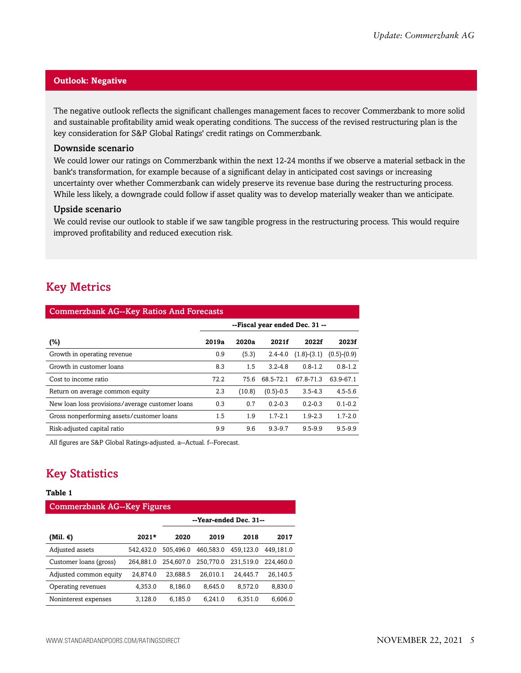#### **Outlook: Negative**

The negative outlook reflects the significant challenges management faces to recover Commerzbank to more solid and sustainable profitability amid weak operating conditions. The success of the revised restructuring plan is the key consideration for S&P Global Ratings' credit ratings on Commerzbank.

#### Downside scenario

We could lower our ratings on Commerzbank within the next 12-24 months if we observe a material setback in the bank's transformation, for example because of a significant delay in anticipated cost savings or increasing uncertainty over whether Commerzbank can widely preserve its revenue base during the restructuring process. While less likely, a downgrade could follow if asset quality was to develop materially weaker than we anticipate.

#### Upside scenario

We could revise our outlook to stable if we saw tangible progress in the restructuring process. This would require improved profitability and reduced execution risk.

## <span id="page-4-0"></span>Key Metrics

| <b>Commerzbank AG--Key Ratios And Forecasts</b> |                                |        |             |               |               |  |  |  |  |
|-------------------------------------------------|--------------------------------|--------|-------------|---------------|---------------|--|--|--|--|
|                                                 | --Fiscal year ended Dec. 31 -- |        |             |               |               |  |  |  |  |
| (%)                                             | 2019a                          | 2020a  | 2021f       | 2022f         | 2023f         |  |  |  |  |
| Growth in operating revenue.                    | 0.9                            | (5.3)  | $2.4 - 4.0$ | $(1.8)-(3.1)$ | $(0.5)-(0.9)$ |  |  |  |  |
| Growth in customer loans                        | 8.3                            | 1.5    | $3.2 - 4.8$ | $0.8 - 1.2$   | $0.8 - 1.2$   |  |  |  |  |
| Cost to income ratio                            | 72.2                           | 75.6   | 68.5-72.1   | 67.8-71.3     | 63.9-67.1     |  |  |  |  |
| Return on average common equity                 | 2.3                            | (10.8) | $(0.5)-0.5$ | $3.5 - 4.3$   | $4.5 - 5.6$   |  |  |  |  |
| New loan loss provisions/average customer loans | 0.3                            | 0.7    | $0.2 - 0.3$ | $0.2 - 0.3$   | $0.1 - 0.2$   |  |  |  |  |
| Gross nonperforming assets/customer loans       | 1.5                            | 1.9    | $1.7 - 2.1$ | $1.9 - 2.3$   | $1.7 - 2.0$   |  |  |  |  |
| Risk-adjusted capital ratio                     | 9.9                            | 9.6    | $9.3 - 9.7$ | $9.5 - 9.9$   | $9.5 - 9.9$   |  |  |  |  |

<span id="page-4-1"></span>All figures are S&P Global Ratings-adjusted. a--Actual. f--Forecast.

# Key Statistics

#### **Table 1**

| <b>Commerzbank AG--Key Figures</b> |           |           |                        |           |           |  |  |  |  |
|------------------------------------|-----------|-----------|------------------------|-----------|-----------|--|--|--|--|
|                                    |           |           | --Year-ended Dec. 31-- |           |           |  |  |  |  |
| (Mil. €)                           | $2021*$   | 2020      | 2019                   | 2018      | 2017      |  |  |  |  |
| Adjusted assets                    | 542.432.0 | 505,496.0 | 460.583.0              | 459.123.0 | 449,181.0 |  |  |  |  |
| Customer loans (gross)             | 264.881.0 | 254.607.0 | 250,770.0              | 231.519.0 | 224.460.0 |  |  |  |  |
| Adjusted common equity             | 24,874.0  | 23,688.5  | 26.010.1               | 24.445.7  | 26.140.5  |  |  |  |  |
| Operating revenues                 | 4,353.0   | 8,186.0   | 8,645.0                | 8.572.0   | 8,830.0   |  |  |  |  |
| Noninterest expenses               | 3.128.0   | 6.185.0   | 6.241.0                | 6.351.0   | 6.606.0   |  |  |  |  |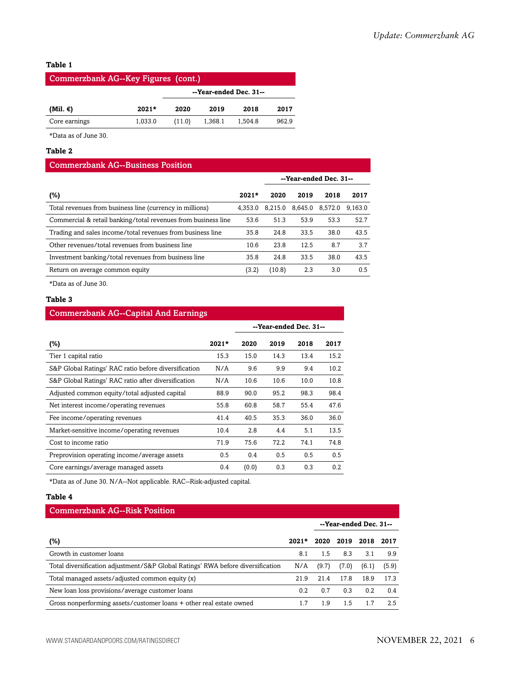#### **Table 1**

| Commerzbank AG--Key Figures (cont.) |         |                        |         |         |       |  |  |  |  |
|-------------------------------------|---------|------------------------|---------|---------|-------|--|--|--|--|
|                                     |         | --Year-ended Dec. 31-- |         |         |       |  |  |  |  |
| (Mil. €)                            | $2021*$ | 2020                   | 2019    | 2018    | 2017  |  |  |  |  |
| Core earnings                       | 1.033.0 | (11.0)                 | 1,368.1 | 1.504.8 | 962.9 |  |  |  |  |

\*Data as of June 30.

#### **Table 2**

#### Commerzbank AG--Business Position

|                                                               |         |         |                 | --Year-ended Dec. 31-- |         |
|---------------------------------------------------------------|---------|---------|-----------------|------------------------|---------|
| (%)                                                           | $2021*$ | 2020    | 2019            | 2018                   | 2017    |
| Total revenues from business line (currency in millions)      | 4.353.0 | 8.215.0 | 8.645.0 8.572.0 |                        | 9.163.0 |
| Commercial & retail banking/total revenues from business line | 53.6    | 51.3    | 53.9            | 53.3                   | 52.7    |
| Trading and sales income/total revenues from business line    | 35.8    | 24.8    | 33.5            | 38.0                   | 43.5    |
| Other revenues/total revenues from business line              | 10.6    | 23.8    | 12.5            | 8.7                    | 3.7     |
| Investment banking/total revenues from business line          | 35.8    | 24.8    | 33.5            | 38.0                   | 43.5    |
| Return on average common equity                               | (3.2)   | (10.8)  | 2.3             | 3.0                    | 0.5     |

\*Data as of June 30.

#### **Table 3**

#### Commerzbank AG--Capital And Earnings

|                                                      |         | --Year-ended Dec. 31-- |      |      |      |
|------------------------------------------------------|---------|------------------------|------|------|------|
| (%)                                                  | $2021*$ | 2020                   | 2019 | 2018 | 2017 |
| Tier 1 capital ratio                                 | 15.3    | 15.0                   | 14.3 | 13.4 | 15.2 |
| S&P Global Ratings' RAC ratio before diversification | N/A     | 9.6                    | 9.9  | 9.4  | 10.2 |
| S&P Global Ratings' RAC ratio after diversification  | N/A     | 10.6                   | 10.6 | 10.0 | 10.8 |
| Adjusted common equity/total adjusted capital        | 88.9    | 90.0                   | 95.2 | 98.3 | 98.4 |
| Net interest income/operating revenues               | 55.8    | 60.8                   | 58.7 | 55.4 | 47.6 |
| Fee income/operating revenues                        | 41.4    | 40.5                   | 35.3 | 36.0 | 36.0 |
| Market-sensitive income/operating revenues           | 10.4    | 2.8                    | 4.4  | 5.1  | 13.5 |
| Cost to income ratio                                 | 71.9    | 75.6                   | 72.2 | 74.1 | 74.8 |
| Preprovision operating income/average assets         | 0.5     | 0.4                    | 0.5  | 0.5  | 0.5  |
| Core earnings/average managed assets                 | 0.4     | (0.0)                  | 0.3  | 0.3  | 0.2  |

\*Data as of June 30. N/A--Not applicable. RAC--Risk-adjusted capital.

#### **Table 4**

#### Commerzbank AG--Risk Position

|                                                                                 |         |       |       | --Year-ended Dec. 31-- |       |
|---------------------------------------------------------------------------------|---------|-------|-------|------------------------|-------|
| (%)                                                                             | $2021*$ | 2020  | 2019  | 2018                   | 2017  |
| Growth in customer loans                                                        | 8.1     | 1.5   | 8.3   | 3.1                    | 9.9   |
| Total diversification adjustment/S&P Global Ratings' RWA before diversification | N/A     | (9.7) | (7.0) | (6.1)                  | (5.9) |
| Total managed assets/adjusted common equity (x)                                 | 21.9    | 21.4  | 17.8  | 18.9                   | 17.3  |
| New loan loss provisions/average customer loans                                 | 0.2     | 0.7   | 0.3   | 0.2                    | 0.4   |
| Gross nonperforming assets/customer loans + other real estate owned             |         | l .9  | 1.5   | 1.7                    | 2.5   |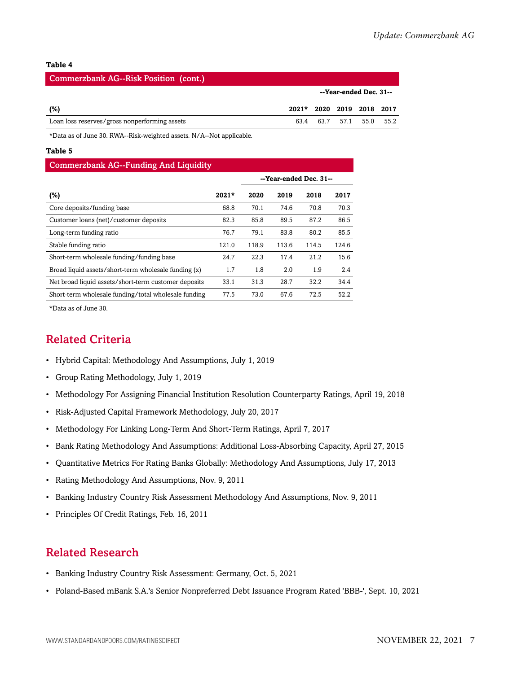#### **Table 4**

| Commerzbank AG--Risk Position (cont.)         |                           |  |  |                        |  |  |  |  |  |
|-----------------------------------------------|---------------------------|--|--|------------------------|--|--|--|--|--|
|                                               |                           |  |  | --Year-ended Dec. 31-- |  |  |  |  |  |
| (%)                                           | 2021* 2020 2019 2018 2017 |  |  |                        |  |  |  |  |  |
| Loan loss reserves/gross nonperforming assets | 63.4                      |  |  | 63.7 57.1 55.0 55.2    |  |  |  |  |  |

\*Data as of June 30. RWA--Risk-weighted assets. N/A--Not applicable.

#### **Table 5**

#### Commerzbank AG--Funding And Liquidity

|                                                      |         |       | --Year-ended Dec. 31-- |       |       |
|------------------------------------------------------|---------|-------|------------------------|-------|-------|
| $(\%)$                                               | $2021*$ | 2020  | 2019                   | 2018  | 2017  |
| Core deposits/funding base                           | 68.8    | 70.1  | 74.6                   | 70.8  | 70.3  |
| Customer loans (net)/customer deposits               | 82.3    | 85.8  | 89.5                   | 87.2  | 86.5  |
| Long-term funding ratio                              | 76.7    | 79.1  | 83.8                   | 80.2  | 85.5  |
| Stable funding ratio                                 | 121.0   | 118.9 | 113.6                  | 114.5 | 124.6 |
| Short-term wholesale funding/funding base            | 24.7    | 22.3  | 17.4                   | 21.2  | 15.6  |
| Broad liquid assets/short-term wholesale funding (x) | 1.7     | 1.8   | 2.0                    | 1.9   | 2.4   |
| Net broad liquid assets/short-term customer deposits | 33.1    | 31.3  | 28.7                   | 32.2  | 34.4  |
| Short-term wholesale funding/total wholesale funding | 77.5    | 73.0  | 67.6                   | 72.5  | 52.2  |

<span id="page-6-0"></span>\*Data as of June 30.

### Related Criteria

- Hybrid Capital: Methodology And Assumptions, July 1, 2019
- Group Rating Methodology, July 1, 2019
- Methodology For Assigning Financial Institution Resolution Counterparty Ratings, April 19, 2018
- Risk-Adjusted Capital Framework Methodology, July 20, 2017
- Methodology For Linking Long-Term And Short-Term Ratings, April 7, 2017
- Bank Rating Methodology And Assumptions: Additional Loss-Absorbing Capacity, April 27, 2015
- Quantitative Metrics For Rating Banks Globally: Methodology And Assumptions, July 17, 2013
- Rating Methodology And Assumptions, Nov. 9, 2011
- Banking Industry Country Risk Assessment Methodology And Assumptions, Nov. 9, 2011
- Principles Of Credit Ratings, Feb. 16, 2011

### <span id="page-6-1"></span>Related Research

- Banking Industry Country Risk Assessment: Germany, Oct. 5, 2021
- Poland-Based mBank S.A.'s Senior Nonpreferred Debt Issuance Program Rated 'BBB-', Sept. 10, 2021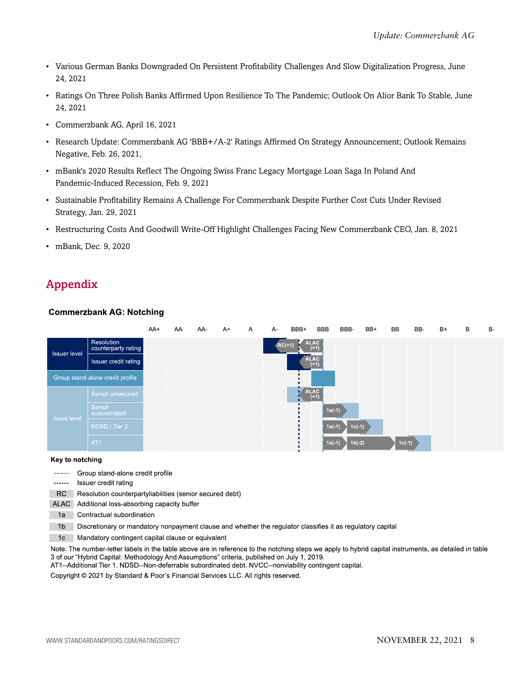- Various German Banks Downgraded On Persistent Profitability Challenges And Slow Digitalization Progress, June 24, 2021
- Ratings On Three Polish Banks Affirmed Upon Resilience To The Pandemic; Outlook On Alior Bank To Stable, June 24, 2021
- Commerzbank AG, April 16, 2021
- Research Update: Commerzbank AG 'BBB+/A-2' Ratings Affirmed On Strategy Announcement; Outlook Remains Negative, Feb. 26, 2021,
- mBank's 2020 Results Reflect The Ongoing Swiss Franc Legacy Mortgage Loan Saga In Poland And Pandemic-Induced Recession, Feb. 9, 2021
- Sustainable Profitability Remains A Challenge For Commerzbank Despite Further Cost Cuts Under Revised Strategy, Jan. 29, 2021
- Restructuring Costs And Goodwill Write-Off Highlight Challenges Facing New Commerzbank CEO, Jan. 8, 2021
- mBank, Dec. 9, 2020

# <span id="page-7-0"></span>Appendix

#### **Commerzbank AG: Notching**

|                     |                                   | AA+ | AA | AA- | $A+$ | $\mathsf{A}$ | $A -$    | BBB+ | BBB                   | BBB-     | BB+ | BB       | BB- | $B+$ | B | <b>B-</b> |
|---------------------|-----------------------------------|-----|----|-----|------|--------------|----------|------|-----------------------|----------|-----|----------|-----|------|---|-----------|
| <b>Issuer level</b> | Resolution<br>counterparty rating |     |    |     |      |              | $RC(+1)$ |      | <b>ALAC</b><br>$(+1)$ |          |     |          |     |      |   |           |
|                     | Issuer credit rating              |     |    |     |      |              |          |      | <b>ALAC</b><br>$(+1)$ |          |     |          |     |      |   |           |
|                     | Group stand-alone credit profile  |     |    |     |      |              |          |      |                       |          |     |          |     |      |   |           |
|                     | Senior unsecured                  |     |    |     |      |              |          |      | <b>ALAC</b><br>$(+1)$ |          |     |          |     |      |   |           |
| <b>Issue level</b>  | Senior<br>subordinated            |     |    |     |      |              |          |      | $1a(-1)$              |          |     |          |     |      |   |           |
|                     | NDSD / Tier 2                     |     |    |     |      |              |          |      | $1a(-1)$              | $1c(-1)$ |     |          |     |      |   |           |
|                     | AT <sub>1</sub>                   |     |    |     |      |              |          |      | $1a(-1)$              | $1b(-2)$ |     | $1c(-1)$ |     |      |   |           |

#### Key to notching

- ----- Group stand-alone credit profile
- ------ Issuer credit rating
- RC Resolution counterpartyliabilities (senior secured debt)
- ALAC Additional loss-absorbing capacity buffer
- 1a Contractual subordination
- 1b Discretionary or mandatory nonpayment clause and whether the regulator classifies it as regulatory capital
- 1c Mandatory contingent capital clause or equivalent

Note: The number-letter labels in the table above are in reference to the notching steps we apply to hybrid capital instruments, as detailed in table 3 of our "Hybrid Capital: Methodology And Assumptions" criteria, published on July 1, 2019.

AT1--Additional Tier 1. NDSD--Non-deferrable subordinated debt. NVCC--nonviability contingent capital.

Copyright @ 2021 by Standard & Poor's Financial Services LLC. All rights reserved.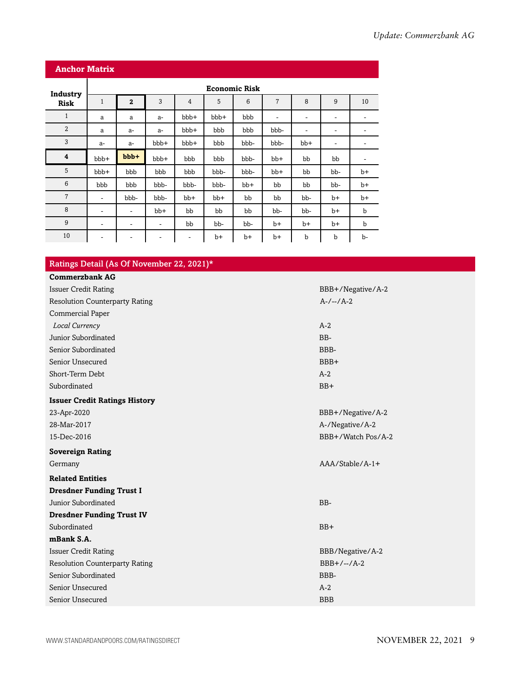| <b>Anchor Matrix</b>    |                          |                   |       |                |      |       |                          |                |                          |             |  |
|-------------------------|--------------------------|-------------------|-------|----------------|------|-------|--------------------------|----------------|--------------------------|-------------|--|
| Industry                | <b>Economic Risk</b>     |                   |       |                |      |       |                          |                |                          |             |  |
| <b>Risk</b>             | $\mathbf{1}$             | $\overline{2}$    | 3     | $\overline{4}$ | 5    | 6     | $\overline{7}$           | 8              | 9                        | 10          |  |
| $\mathbf{1}$            | a                        | a                 | $a-$  | bbb+           | bbb+ | bbb   | $\overline{\phantom{a}}$ | ٠              | $\overline{\phantom{a}}$ | -           |  |
| $\overline{2}$          | a                        | $a-$              | $a-$  | bbb+           | bbb  | bbb   | bbb-                     | $\overline{a}$ | -                        |             |  |
| 3                       | $a-$                     | $a-$              | bbb+  | bbb+           | bbb  | bbb-  | bbb-                     | bb+            | $\overline{\phantom{a}}$ | ۰           |  |
| $\overline{\mathbf{4}}$ | bbb+                     | bbb+              | bbb+  | bbb            | bbb  | bbb-  | bb+                      | bb             | bb                       | -           |  |
| 5                       | bbb+                     | bbb               | bbb   | bbb            | bbb- | bbb-  | bb+                      | bb             | bb-                      | $b+$        |  |
| 6                       | bbb                      | bbb               | bbb-  | bbb-           | bbb- | $bb+$ | bb                       | bb             | bb-                      | $b+$        |  |
| $\overline{7}$          | $\overline{\phantom{a}}$ | bbb-              | bbb-  | $bb+$          | bb+  | bb    | bb                       | bb-            | $b+$                     | $b+$        |  |
| 8                       | $\overline{\phantom{a}}$ | $\qquad \qquad -$ | $bb+$ | bb             | bb   | bb    | bb-                      | bb-            | $b+$                     | $\mathbf b$ |  |
| 9                       | ۰                        | $\qquad \qquad -$ | -     | bb             | bb-  | bb-   | b+                       | $b+$           | $b+$                     | $\mathbf b$ |  |
| 10                      | ۰                        | -                 | ٠     | ۰              | $b+$ | $b+$  | b+                       | $\mathbf b$    | $\mathbf b$              | b-          |  |

### Ratings Detail (As Of November 22, 2021)\*

| <b>Commerzbank AG</b>                 |                    |
|---------------------------------------|--------------------|
| <b>Issuer Credit Rating</b>           | BBB+/Negative/A-2  |
| <b>Resolution Counterparty Rating</b> | $A-/-/A-2$         |
| Commercial Paper                      |                    |
| Local Currency                        | $A-2$              |
| Junior Subordinated                   | BB-                |
| Senior Subordinated                   | BBB-               |
| Senior Unsecured                      | BBB+               |
| Short-Term Debt                       | $A-2$              |
| Subordinated                          | $BB+$              |
| <b>Issuer Credit Ratings History</b>  |                    |
| 23-Apr-2020                           | BBB+/Negative/A-2  |
| 28-Mar-2017                           | A-/Negative/A-2    |
| 15-Dec-2016                           | BBB+/Watch Pos/A-2 |
| <b>Sovereign Rating</b>               |                    |
| Germany                               | $AAA/Stable/A-1+$  |
| <b>Related Entities</b>               |                    |
| <b>Dresdner Funding Trust I</b>       |                    |
| Junior Subordinated                   | BB-                |
| <b>Dresdner Funding Trust IV</b>      |                    |
| Subordinated                          | $BB+$              |
| mBank S.A.                            |                    |
| <b>Issuer Credit Rating</b>           | BBB/Negative/A-2   |
| <b>Resolution Counterparty Rating</b> | $BBB+/-/A-2$       |
| Senior Subordinated                   | BBB-               |
| Senior Unsecured                      | $A-2$              |
| Senior Unsecured                      | <b>BBB</b>         |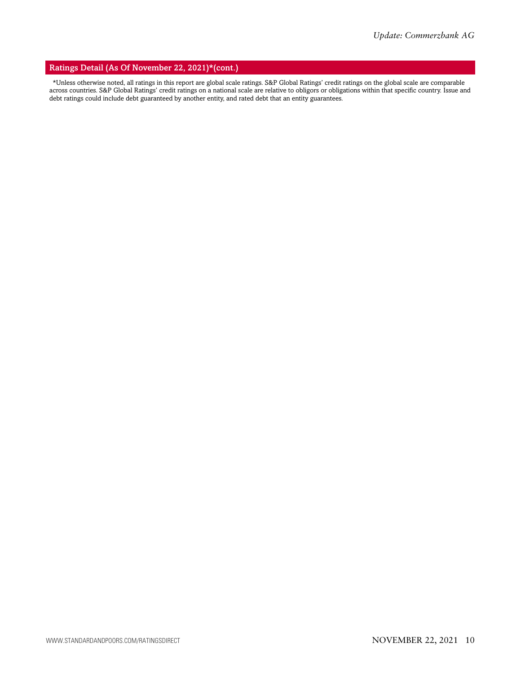#### Ratings Detail (As Of November 22, 2021)\*(cont.)

\*Unless otherwise noted, all ratings in this report are global scale ratings. S&P Global Ratings' credit ratings on the global scale are comparable across countries. S&P Global Ratings' credit ratings on a national scale are relative to obligors or obligations within that specific country. Issue and debt ratings could include debt guaranteed by another entity, and rated debt that an entity guarantees.